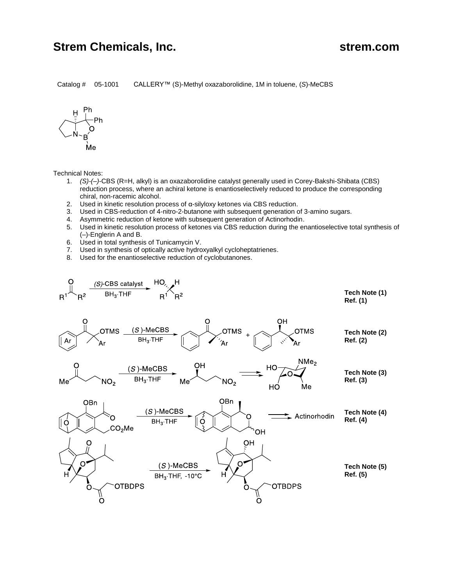## **Strem Chemicals, Inc.** Strem.com

Catalog # 05-1001 CALLERY™ (S)-Methyl oxazaborolidine, 1M in toluene, (*S*)-MeCBS



Technical Notes:

- 1. *(S)-(–)*-CBS (R=H, alkyl) is an oxazaborolidine catalyst generally used in Corey-Bakshi-Shibata (CBS) reduction process, where an achiral ketone is enantioselectively reduced to produce the corresponding chiral, non-racemic alcohol.
- 2. Used in kinetic resolution process of α-silyloxy ketones via CBS reduction.
- 3. Used in CBS-reduction of 4-nitro-2-butanone with subsequent generation of 3-amino sugars.
- 4. Asymmetric reduction of ketone with subsequent generation of Actinorhodin.
- 5. Used in kinetic resolution process of ketones via CBS reduction during the enantioselective total synthesis of (–)-Englerin A and B.
- 6. Used in total synthesis of Tunicamycin V.
- 7. Used in synthesis of optically active hydroxyalkyl cycloheptatrienes.
- 8. Used for the enantioselective reduction of cyclobutanones.